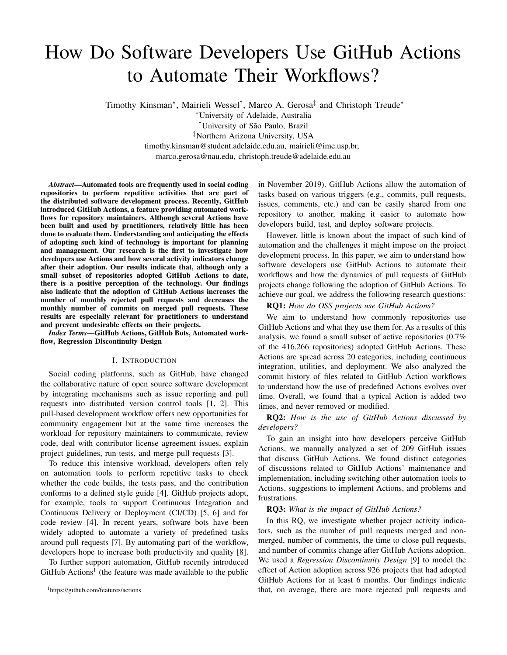# How Do Software Developers Use GitHub Actions to Automate Their Workflows?

Timothy Kinsman\*, Mairieli Wessel<sup>†</sup>, Marco A. Gerosa<sup>‡</sup> and Christoph Treude\*

<sup>∗</sup>University of Adelaide, Australia

<sup>†</sup>University of São Paulo, Brazil

‡Northern Arizona University, USA

timothy.kinsman@student.adelaide.edu.au, mairieli@ime.usp.br,

marco.gerosa@nau.edu, christoph.treude@adelaide.edu.au

*Abstract*—Automated tools are frequently used in social coding repositories to perform repetitive activities that are part of the distributed software development process. Recently, GitHub introduced GitHub Actions, a feature providing automated workflows for repository maintainers. Although several Actions have been built and used by practitioners, relatively little has been done to evaluate them. Understanding and anticipating the effects of adopting such kind of technology is important for planning and management. Our research is the first to investigate how developers use Actions and how several activity indicators change after their adoption. Our results indicate that, although only a small subset of repositories adopted GitHub Actions to date, there is a positive perception of the technology. Our findings also indicate that the adoption of GitHub Actions increases the number of monthly rejected pull requests and decreases the monthly number of commits on merged pull requests. These results are especially relevant for practitioners to understand and prevent undesirable effects on their projects.

*Index Terms*—GitHub Actions, GitHub Bots, Automated workflow, Regression Discontinuity Design

# I. INTRODUCTION

Social coding platforms, such as GitHub, have changed the collaborative nature of open source software development by integrating mechanisms such as issue reporting and pull requests into distributed version control tools [\[1,](#page-10-0) [2\]](#page-10-1). This pull-based development workflow offers new opportunities for community engagement but at the same time increases the workload for repository maintainers to communicate, review code, deal with contributor license agreement issues, explain project guidelines, run tests, and merge pull requests [\[3\]](#page-10-2).

To reduce this intensive workload, developers often rely on automation tools to perform repetitive tasks to check whether the code builds, the tests pass, and the contribution conforms to a defined style guide [\[4\]](#page-10-3). GitHub projects adopt, for example, tools to support Continuous Integration and Continuous Delivery or Deployment (CI/CD) [\[5,](#page-10-4) [6\]](#page-10-5) and for code review [\[4\]](#page-10-3). In recent years, software bots have been widely adopted to automate a variety of predefined tasks around pull requests [\[7\]](#page-10-6). By automating part of the workflow, developers hope to increase both productivity and quality [\[8\]](#page-10-7).

To further support automation, GitHub recently introduced  $G$ itHub Actions<sup>[1](#page-0-0)</sup> (the feature was made available to the public in November 2019). GitHub Actions allow the automation of tasks based on various triggers (e.g., commits, pull requests, issues, comments, etc.) and can be easily shared from one repository to another, making it easier to automate how developers build, test, and deploy software projects.

However, little is known about the impact of such kind of automation and the challenges it might impose on the project development process. In this paper, we aim to understand how software developers use GitHub Actions to automate their workflows and how the dynamics of pull requests of GitHub projects change following the adoption of GitHub Actions. To achieve our goal, we address the following research questions:

#### RQ1: *How do OSS projects use GitHub Actions?*

We aim to understand how commonly repositories use GitHub Actions and what they use them for. As a results of this analysis, we found a small subset of active repositories (0.7% of the 416,266 repositories) adopted GitHub Actions. These Actions are spread across 20 categories, including continuous integration, utilities, and deployment. We also analyzed the commit history of files related to GitHub Action workflows to understand how the use of predefined Actions evolves over time. Overall, we found that a typical Action is added two times, and never removed or modified.

# RQ2: *How is the use of GitHub Actions discussed by developers?*

To gain an insight into how developers perceive GitHub Actions, we manually analyzed a set of 209 GitHub issues that discuss GitHub Actions. We found distinct categories of discussions related to GitHub Actions' maintenance and implementation, including switching other automation tools to Actions, suggestions to implement Actions, and problems and frustrations.

# RQ3: *What is the impact of GitHub Actions?*

In this RQ, we investigate whether project activity indicators, such as the number of pull requests merged and nonmerged, number of comments, the time to close pull requests, and number of commits change after GitHub Actions adoption. We used a *Regression Discontinuity Design* [\[9\]](#page-10-8) to model the effect of Action adoption across 926 projects that had adopted GitHub Actions for at least 6 months. Our findings indicate that, on average, there are more rejected pull requests and

<span id="page-0-0"></span><sup>1</sup>https://github.com/features/actions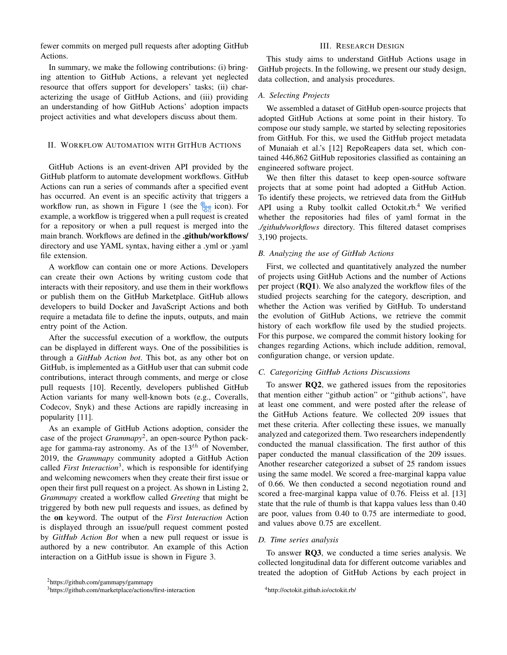fewer commits on merged pull requests after adopting GitHub Actions.

In summary, we make the following contributions: (i) bringing attention to GitHub Actions, a relevant yet neglected resource that offers support for developers' tasks; (ii) characterizing the usage of GitHub Actions, and (iii) providing an understanding of how GitHub Actions' adoption impacts project activities and what developers discuss about them.

# II. WORKFLOW AUTOMATION WITH GITHUB ACTIONS

GitHub Actions is an event-driven API provided by the GitHub platform to automate development workflows. GitHub Actions can run a series of commands after a specified event has occurred. An event is an specific activity that triggers a workflow run, as shown in Figure [1](#page-2-0) (see the  $\frac{1}{2}$  icon). For example, a workflow is triggered when a pull request is created for a repository or when a pull request is merged into the main branch. Workflows are defined in the .github/workflows/ directory and use YAML syntax, having either a .yml or .yaml file extension.

A workflow can contain one or more Actions. Developers can create their own Actions by writing custom code that interacts with their repository, and use them in their workflows or publish them on the GitHub Marketplace. GitHub allows developers to build Docker and JavaScript Actions and both require a metadata file to define the inputs, outputs, and main entry point of the Action.

After the successful execution of a workflow, the outputs can be displayed in different ways. One of the possibilities is through a *GitHub Action bot*. This bot, as any other bot on GitHub, is implemented as a GitHub user that can submit code contributions, interact through comments, and merge or close pull requests [\[10\]](#page-10-9). Recently, developers published GitHub Action variants for many well-known bots (e.g., Coveralls, Codecov, Snyk) and these Actions are rapidly increasing in popularity [\[11\]](#page-10-10).

As an example of GitHub Actions adoption, consider the case of the project *Grammapy*<sup>[2](#page-1-0)</sup>, an open-source Python package for gamma-ray astronomy. As of the  $13<sup>th</sup>$  of November, 2019, the *Grammapy* community adopted a GitHub Action called *First Interaction*[3](#page-1-1) , which is responsible for identifying and welcoming newcomers when they create their first issue or open their first pull request on a project. As shown in Listing [2,](#page-2-1) *Grammapy* created a workflow called *Greeting* that might be triggered by both new pull requests and issues, as defined by the on keyword. The output of the *First Interaction* Action is displayed through an issue/pull request comment posted by *GitHub Action Bot* when a new pull request or issue is authored by a new contributor. An example of this Action interaction on a GitHub issue is shown in Figure [3.](#page-2-2)

# III. RESEARCH DESIGN

This study aims to understand GitHub Actions usage in GitHub projects. In the following, we present our study design, data collection, and analysis procedures.

#### *A. Selecting Projects*

We assembled a dataset of GitHub open-source projects that adopted GitHub Actions at some point in their history. To compose our study sample, we started by selecting repositories from GitHub. For this, we used the GitHub project metadata of Munaiah et al.'s [\[12\]](#page-10-11) RepoReapers data set, which contained 446,862 GitHub repositories classified as containing an engineered software project.

We then filter this dataset to keep open-source software projects that at some point had adopted a GitHub Action. To identify these projects, we retrieved data from the GitHub API using a Ruby toolkit called Octokit.rb.<sup>[4](#page-1-2)</sup> We verified whether the repositories had files of yaml format in the *./github/workflows* directory. This filtered dataset comprises 3,190 projects.

# *B. Analyzing the use of GitHub Actions*

First, we collected and quantitatively analyzed the number of projects using GitHub Actions and the number of Actions per project (RQ1). We also analyzed the workflow files of the studied projects searching for the category, description, and whether the Action was verified by GitHub. To understand the evolution of GitHub Actions, we retrieve the commit history of each workflow file used by the studied projects. For this purpose, we compared the commit history looking for changes regarding Actions, which include addition, removal, configuration change, or version update.

### *C. Categorizing GitHub Actions Discussions*

To answer RQ2, we gathered issues from the repositories that mention either "github action" or "github actions", have at least one comment, and were posted after the release of the GitHub Actions feature. We collected 209 issues that met these criteria. After collecting these issues, we manually analyzed and categorized them. Two researchers independently conducted the manual classification. The first author of this paper conducted the manual classification of the 209 issues. Another researcher categorized a subset of 25 random issues using the same model. We scored a free-marginal kappa value of 0.66. We then conducted a second negotiation round and scored a free-marginal kappa value of 0.76. Fleiss et al. [\[13\]](#page-10-12) state that the rule of thumb is that kappa values less than 0.40 are poor, values from 0.40 to 0.75 are intermediate to good, and values above 0.75 are excellent.

# *D. Time series analysis*

To answer RQ3, we conducted a time series analysis. We collected longitudinal data for different outcome variables and treated the adoption of GitHub Actions by each project in

<span id="page-1-0"></span><sup>2</sup>https://github.com/gammapy/gammapy

<span id="page-1-1"></span><sup>3</sup>https://github.com/marketplace/actions/first-interaction

<span id="page-1-2"></span><sup>4</sup>http://octokit.github.io/octokit.rb/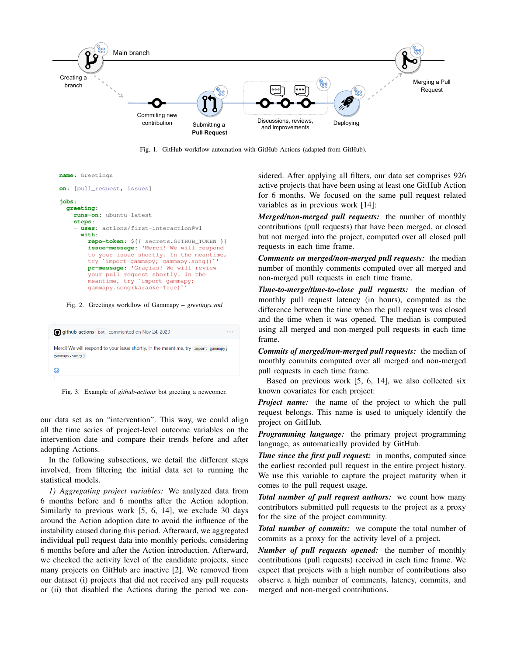

<span id="page-2-0"></span>Fig. 1. GitHub workflow automation with GitHub Actions (adapted from GitHub).

```
name: Greetings
on: [pull_request, issues]
jobs:
 greeting:
    runs-on: ubuntu-latest
    steps:
     uses: actions/first-interaction@v1
      with:
        repo-token: ${{ secrets. GITHUB_TOKEN }}
        issue-message: 'Merci! We will respond
        to your issue shortly. In the meantime,
            'import gammapy; gammapy.song()
        try
        pr-message: 'Graçias! We will review
        your pull request shortly. In the
        meantime, try 'import gammapy;
        gammapy.song(karaoke=True)
```
<span id="page-2-1"></span>Fig. 2. Greetings workflow of Gammapy – *greetings.yml*

| github-actions bot commented on Nov 24, 2020                                                         | $\cdots$ |
|------------------------------------------------------------------------------------------------------|----------|
| Merci! We will respond to your issue shortly. In the meantime, try import gammapy;<br>gammapy.song() |          |
| ⊙)                                                                                                   |          |

<span id="page-2-2"></span>Fig. 3. Example of *github-actions* bot greeting a newcomer.

our data set as an "intervention". This way, we could align all the time series of project-level outcome variables on the intervention date and compare their trends before and after adopting Actions.

In the following subsections, we detail the different steps involved, from filtering the initial data set to running the statistical models.

*1) Aggregating project variables:* We analyzed data from 6 months before and 6 months after the Action adoption. Similarly to previous work [\[5,](#page-10-4) [6,](#page-10-5) [14\]](#page-10-13), we exclude 30 days around the Action adoption date to avoid the influence of the instability caused during this period. Afterward, we aggregated individual pull request data into monthly periods, considering 6 months before and after the Action introduction. Afterward, we checked the activity level of the candidate projects, since many projects on GitHub are inactive [\[2\]](#page-10-1). We removed from our dataset (i) projects that did not received any pull requests or (ii) that disabled the Actions during the period we considered. After applying all filters, our data set comprises 926 active projects that have been using at least one GitHub Action for 6 months. We focused on the same pull request related variables as in previous work [\[14\]](#page-10-13):

*Merged/non-merged pull requests:* the number of monthly contributions (pull requests) that have been merged, or closed but not merged into the project, computed over all closed pull requests in each time frame.

*Comments on merged/non-merged pull requests:* the median number of monthly comments computed over all merged and non-merged pull requests in each time frame.

*Time-to-merge/time-to-close pull requests:* the median of monthly pull request latency (in hours), computed as the difference between the time when the pull request was closed and the time when it was opened. The median is computed using all merged and non-merged pull requests in each time frame.

*Commits of merged/non-merged pull requests:* the median of monthly commits computed over all merged and non-merged pull requests in each time frame.

Based on previous work [\[5,](#page-10-4) [6,](#page-10-5) [14\]](#page-10-13), we also collected six known covariates for each project:

*Project name:* the name of the project to which the pull request belongs. This name is used to uniquely identify the project on GitHub.

*Programming language:* the primary project programming language, as automatically provided by GitHub.

*Time since the first pull request:* in months, computed since the earliest recorded pull request in the entire project history. We use this variable to capture the project maturity when it comes to the pull request usage.

*Total number of pull request authors:* we count how many contributors submitted pull requests to the project as a proxy for the size of the project community.

*Total number of commits:* we compute the total number of commits as a proxy for the activity level of a project.

*Number of pull requests opened:* the number of monthly contributions (pull requests) received in each time frame. We expect that projects with a high number of contributions also observe a high number of comments, latency, commits, and merged and non-merged contributions.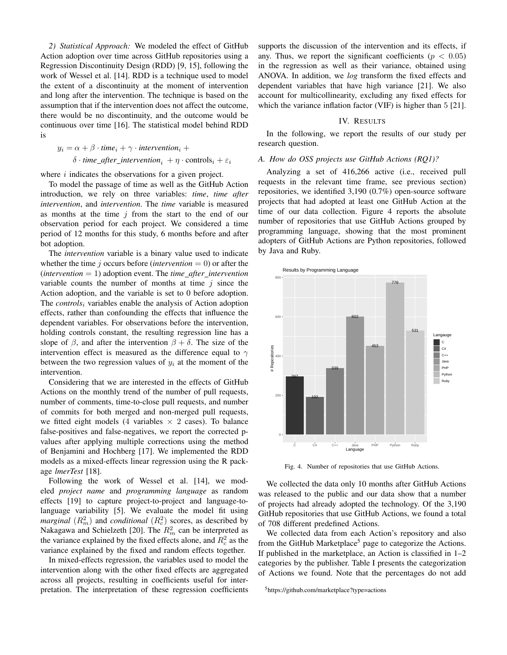<span id="page-3-2"></span>*2) Statistical Approach:* We modeled the effect of GitHub Action adoption over time across GitHub repositories using a Regression Discontinuity Design (RDD) [\[9,](#page-10-8) [15\]](#page-10-14), following the work of Wessel et al. [\[14\]](#page-10-13). RDD is a technique used to model the extent of a discontinuity at the moment of intervention and long after the intervention. The technique is based on the assumption that if the intervention does not affect the outcome, there would be no discontinuity, and the outcome would be continuous over time [\[16\]](#page-10-15). The statistical model behind RDD is

$$
y_i = \alpha + \beta \cdot time_i + \gamma \cdot intervention_i +
$$
  

$$
\delta \cdot time\_after\_intervation_i + \eta \cdot controls_i + \varepsilon_i
$$

where  $i$  indicates the observations for a given project.

To model the passage of time as well as the GitHub Action introduction, we rely on three variables: *time*, *time after intervention*, and *intervention*. The *time* variable is measured as months at the time  $j$  from the start to the end of our observation period for each project. We considered a time period of 12 months for this study, 6 months before and after bot adoption.

The *intervention* variable is a binary value used to indicate whether the time j occurs before (*intervention*  $= 0$ ) or after the (*intervention* = 1) adoption event. The *time after intervention* variable counts the number of months at time  $i$  since the Action adoption, and the variable is set to 0 before adoption. The *controls*<sup>i</sup> variables enable the analysis of Action adoption effects, rather than confounding the effects that influence the dependent variables. For observations before the intervention, holding controls constant, the resulting regression line has a slope of  $\beta$ , and after the intervention  $\beta + \delta$ . The size of the intervention effect is measured as the difference equal to  $\gamma$ between the two regression values of  $y_i$  at the moment of the intervention.

Considering that we are interested in the effects of GitHub Actions on the monthly trend of the number of pull requests, number of comments, time-to-close pull requests, and number of commits for both merged and non-merged pull requests, we fitted eight models (4 variables  $\times$  2 cases). To balance false-positives and false-negatives, we report the corrected pvalues after applying multiple corrections using the method of Benjamini and Hochberg [\[17\]](#page-10-16). We implemented the RDD models as a mixed-effects linear regression using the R package *lmerTest* [\[18\]](#page-10-17).

Following the work of Wessel et al. [\[14\]](#page-10-13), we modeled *project name* and *programming language* as random effects [\[19\]](#page-10-18) to capture project-to-project and language-tolanguage variability [\[5\]](#page-10-4). We evaluate the model fit using *marginal*  $(R_m^2)$  and *conditional*  $(R_c^2)$  scores, as described by Nakagawa and Schielzeth [\[20\]](#page-10-19). The  $R_m^2$  can be interpreted as the variance explained by the fixed effects alone, and  $R_c^2$  as the variance explained by the fixed and random effects together.

In mixed-effects regression, the variables used to model the intervention along with the other fixed effects are aggregated across all projects, resulting in coefficients useful for interpretation. The interpretation of these regression coefficients supports the discussion of the intervention and its effects, if any. Thus, we report the significant coefficients ( $p < 0.05$ ) in the regression as well as their variance, obtained using ANOVA. In addition, we *log* transform the fixed effects and dependent variables that have high variance [\[21\]](#page-10-20). We also account for multicollinearity, excluding any fixed effects for which the variance inflation factor (VIF) is higher than 5 [\[21\]](#page-10-20).

#### IV. RESULTS

In the following, we report the results of our study per research question.

#### *A. How do OSS projects use GitHub Actions (RQ1)?*

Analyzing a set of 416,266 active (i.e., received pull requests in the relevant time frame, see previous section) repositories, we identified 3,190 (0.7%) open-source software projects that had adopted at least one GitHub Action at the time of our data collection. Figure [4](#page-3-0) reports the absolute number of repositories that use GitHub Actions grouped by programming language, showing that the most prominent adopters of GitHub Actions are Python repositories, followed by Java and Ruby.



<span id="page-3-0"></span>Fig. 4. Number of repositories that use GitHub Actions.

We collected the data only 10 months after GitHub Actions was released to the public and our data show that a number of projects had already adopted the technology. Of the 3,190 GitHub repositories that use GitHub Actions, we found a total of 708 different predefined Actions.

We collected data from each Action's repository and also from the GitHub Marketplace<sup>[5](#page-3-1)</sup> page to categorize the Actions. If published in the marketplace, an Action is classified in 1–2 categories by the publisher. Table [I](#page-4-0) presents the categorization of Actions we found. Note that the percentages do not add

<span id="page-3-1"></span><sup>5</sup>https://github.com/marketplace?type=actions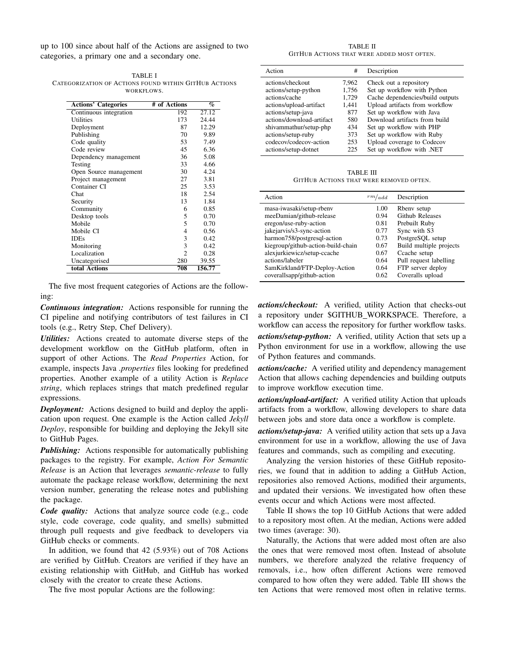up to 100 since about half of the Actions are assigned to two categories, a primary one and a secondary one.

<span id="page-4-0"></span>TABLE I CATEGORIZATION OF ACTIONS FOUND WITHIN GITHUB ACTIONS WORKELOWS.

| <b>Actions' Categories</b> | # of Actions | $\%$   |
|----------------------------|--------------|--------|
| Continuous integration     | 192          | 27.12  |
| <b>Utilities</b>           | 173          | 24.44  |
| Deployment                 | 87           | 12.29  |
| Publishing                 | 70           | 9.89   |
| Code quality               | 53           | 7.49   |
| Code review                | 45           | 6.36   |
| Dependency management      | 36           | 5.08   |
| Testing                    | 33           | 4.66   |
| Open Source management     | 30           | 4.24   |
| Project management         | 27           | 3.81   |
| Container CI               | 25           | 3.53   |
| Chat                       | 18           | 2.54   |
| Security                   | 13           | 1.84   |
| Community                  | 6            | 0.85   |
| Desktop tools              | 5            | 0.70   |
| Mobile                     | 5            | 0.70   |
| Mobile CI                  | 4            | 0.56   |
| <b>IDEs</b>                | 3            | 0.42   |
| Monitoring                 | 3            | 0.42   |
| Localization               | 2            | 0.28   |
| Uncategorised              | 280          | 39.55  |
| total Actions              | 708          | 156.77 |

The five most frequent categories of Actions are the following:

*Continuous integration:* Actions responsible for running the CI pipeline and notifying contributors of test failures in CI tools (e.g., Retry Step, Chef Delivery).

*Utilities:* Actions created to automate diverse steps of the development workflow on the GitHub platform, often in support of other Actions. The *Read Properties* Action, for example, inspects Java *.properties* files looking for predefined properties. Another example of a utility Action is *Replace string*, which replaces strings that match predefined regular expressions.

*Deployment:* Actions designed to build and deploy the application upon request. One example is the Action called *Jekyll Deploy*, responsible for building and deploying the Jekyll site to GitHub Pages.

*Publishing:* Actions responsible for automatically publishing packages to the registry. For example, *Action For Semantic Release* is an Action that leverages *semantic-release* to fully automate the package release workflow, determining the next version number, generating the release notes and publishing the package.

*Code quality:* Actions that analyze source code (e.g., code style, code coverage, code quality, and smells) submitted through pull requests and give feedback to developers via GitHub checks or comments.

In addition, we found that 42 (5.93%) out of 708 Actions are verified by GitHub. Creators are verified if they have an existing relationship with GitHub, and GitHub has worked closely with the creator to create these Actions.

The five most popular Actions are the following:

TABLE II GITHUB ACTIONS THAT WERE ADDED MOST OFTEN.

<span id="page-4-1"></span>

| Action                    | #     | Description                      |
|---------------------------|-------|----------------------------------|
| actions/checkout          | 7,962 | Check out a repository           |
| actions/setup-python      | 1,756 | Set up workflow with Python      |
| actions/cache             | 1,729 | Cache dependencies/build outputs |
| actions/upload-artifact   | 1,441 | Upload artifacts from workflow   |
| actions/setup-java        | 877   | Set up workflow with Java        |
| actions/download-artifact | 580   | Download artifacts from build    |
| shivammathur/setup-php    | 434   | Set up workflow with PHP         |
| actions/setup-ruby        | 373   | Set up workflow with Ruby        |
| codecov/codecov-action    | 253   | Upload coverage to Codecov       |
| actions/setup-dotnet      | 225   | Set up workflow with .NET        |
|                           |       |                                  |

TABLE III GITHUB ACTIONS THAT WERE REMOVED OFTEN.

<span id="page-4-2"></span>

| Action                             | $rm/a$ dd | Description             |
|------------------------------------|-----------|-------------------------|
| masa-iwasaki/setup-rbeny           | 1.00      | Rbeny setup             |
| meeDamian/github-release           | 0.94      | <b>Github Releases</b>  |
| eregon/use-ruby-action             | 0.81      | Prebuilt Ruby           |
| jakejarvis/s3-sync-action          | 0.77      | Sync with S3            |
| harmon758/postgresql-action        | 0.73      | PostgreSQL setup        |
| kiegroup/github-action-build-chain | 0.67      | Build multiple projects |
| alexjurkiewicz/setup-ccache        | 0.67      | Ccache setup            |
| actions/labeler                    | 0.64      | Pull request labelling  |
| SamKirkland/FTP-Deploy-Action      | 0.64      | FTP server deploy       |
| coverallsapp/github-action         | 0.62      | Coveralls upload        |

*actions/checkout:* A verified, utility Action that checks-out a repository under \$GITHUB WORKSPACE. Therefore, a workflow can access the repository for further workflow tasks.

*actions/setup-python:* A verified, utility Action that sets up a Python environment for use in a workflow, allowing the use of Python features and commands.

*actions/cache:* A verified utility and dependency management Action that allows caching dependencies and building outputs to improve workflow execution time.

*actions/upload-artifact:* A verified utility Action that uploads artifacts from a workflow, allowing developers to share data between jobs and store data once a workflow is complete.

*actions/setup-java:* A verified utility action that sets up a Java environment for use in a workflow, allowing the use of Java features and commands, such as compiling and executing.

Analyzing the version histories of these GitHub repositories, we found that in addition to adding a GitHub Action, repositories also removed Actions, modified their arguments, and updated their versions. We investigated how often these events occur and which Actions were most affected.

Table [II](#page-4-1) shows the top 10 GitHub Actions that were added to a repository most often. At the median, Actions were added two times (average: 30).

Naturally, the Actions that were added most often are also the ones that were removed most often. Instead of absolute numbers, we therefore analyzed the relative frequency of removals, i.e., how often different Actions were removed compared to how often they were added. Table [III](#page-4-2) shows the ten Actions that were removed most often in relative terms.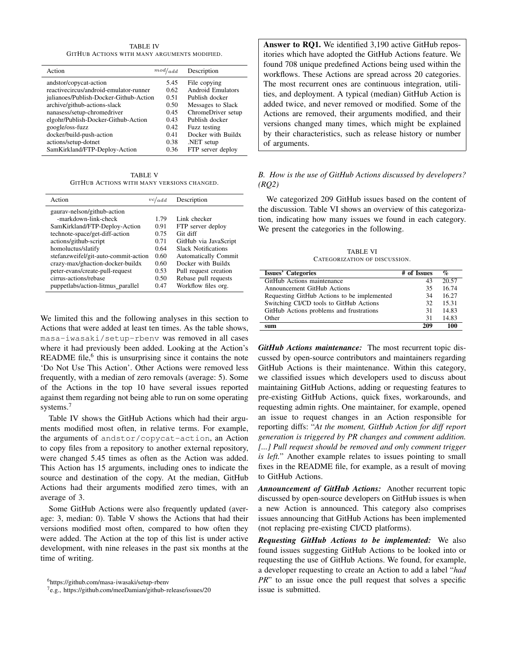TABLE IV GITHUB ACTIONS WITH MANY ARGUMENTS MODIFIED.

<span id="page-5-2"></span>

| Action                                 | mod/add | Description              |
|----------------------------------------|---------|--------------------------|
| andstor/copycat-action                 | 5.45    | File copying             |
| reactivecircus/android-emulator-runner | 0.62    | <b>Android Emulators</b> |
| julianoes/Publish-Docker-Github-Action | 0.51    | Publish docker           |
| archive/github-actions-slack           | 0.50    | Messages to Slack        |
| nanasess/setup-chromedriver            | 0.45    | ChromeDriver setup       |
| elgohr/Publish-Docker-Github-Action    | 0.43    | Publish docker           |
| google/oss-fuzz                        | 0.42    | Fuzz testing             |
| docker/build-push-action               | 0.41    | Docker with Buildx       |
| actions/setup-dotnet                   | 0.38    | NET setup                |
| SamKirkland/FTP-Deploy-Action          | 0.36    | FTP server deploy        |
|                                        |         |                          |

TABLE V GITHUB ACTIONS WITH MANY VERSIONS CHANGED.

<span id="page-5-3"></span>

| Action                               | vc/add | Description                 |
|--------------------------------------|--------|-----------------------------|
| gaurav-nelson/github-action          |        |                             |
| -markdown-link-check                 | 1.79   | Link checker                |
| SamKirkland/FTP-Deploy-Action        | 0.91   | FTP server deploy           |
| technote-space/get-diff-action       | 0.75   | Git diff                    |
| actions/github-script                | 0.71   | GitHub via JavaScript       |
| homoluctus/slatify                   | 0.64   | <b>Slack Notifications</b>  |
| stefanzweifel/git-auto-commit-action | 0.60   | <b>Automatically Commit</b> |
| crazy-max/ghaction-docker-buildx     | 0.60   | Docker with Buildx          |
| peter-evans/create-pull-request      | 0.53   | Pull request creation       |
| cirrus-actions/rebase                | 0.50   | Rebase pull requests        |
| puppetlabs/action-litmus_parallel    | 0.47   | Workflow files org.         |

We limited this and the following analyses in this section to Actions that were added at least ten times. As the table shows, masa-iwasaki/setup-rbenv was removed in all cases where it had previously been added. Looking at the Action's README file, $6$  this is unsurprising since it contains the note 'Do Not Use This Action'. Other Actions were removed less frequently, with a median of zero removals (average: 5). Some of the Actions in the top 10 have several issues reported against them regarding not being able to run on some operating systems.<sup>[7](#page-5-1)</sup>

Table [IV](#page-5-2) shows the GitHub Actions which had their arguments modified most often, in relative terms. For example, the arguments of andstor/copycat-action, an Action to copy files from a repository to another external repository, were changed 5.45 times as often as the Action was added. This Action has 15 arguments, including ones to indicate the source and destination of the copy. At the median, GitHub Actions had their arguments modified zero times, with an average of 3.

Some GitHub Actions were also frequently updated (average: 3, median: 0). Table [V](#page-5-3) shows the Actions that had their versions modified most often, compared to how often they were added. The Action at the top of this list is under active development, with nine releases in the past six months at the time of writing.

Answer to RQ1. We identified 3,190 active GitHub repositories which have adopted the GitHub Actions feature. We found 708 unique predefined Actions being used within the workflows. These Actions are spread across 20 categories. The most recurrent ones are continuous integration, utilities, and deployment. A typical (median) GitHub Action is added twice, and never removed or modified. Some of the Actions are removed, their arguments modified, and their versions changed many times, which might be explained by their characteristics, such as release history or number of arguments.

# *B. How is the use of GitHub Actions discussed by developers? (RQ2)*

We categorized 209 GitHub issues based on the content of the discussion. Table [VI](#page-5-4) shows an overview of this categorization, indicating how many issues we found in each category. We present the categories in the following.

TABLE VI CATEGORIZATION OF DISCUSSION.

<span id="page-5-4"></span>

| <b>Issues' Categories</b>                   | # of Issues | $\%$  |
|---------------------------------------------|-------------|-------|
| GitHub Actions maintenance                  | 43          | 20.57 |
|                                             | 35          | 16.74 |
| <b>Announcement GitHub Actions</b>          |             |       |
| Requesting GitHub Actions to be implemented | 34          | 16.27 |
| Switching CI/CD tools to GitHub Actions     | 32          | 15.31 |
| GitHub Actions problems and frustrations    | 31          | 14.83 |
| Other                                       | 31          | 14.83 |
| sum                                         | 209         | 100   |

*GitHub Actions maintenance:* The most recurrent topic discussed by open-source contributors and maintainers regarding GitHub Actions is their maintenance. Within this category, we classified issues which developers used to discuss about maintaining GitHub Actions, adding or requesting features to pre-existing GitHub Actions, quick fixes, workarounds, and requesting admin rights. One maintainer, for example, opened an issue to request changes in an Action responsible for reporting diffs: "*At the moment, GitHub Action for diff report generation is triggered by PR changes and comment addition. [...] Pull request should be removed and only comment trigger is left.*" Another example relates to issues pointing to small fixes in the README file, for example, as a result of moving to GitHub Actions.

*Announcement of GitHub Actions:* Another recurrent topic discussed by open-source developers on GitHub issues is when a new Action is announced. This category also comprises issues announcing that GitHub Actions has been implemented (not replacing pre-existing CI/CD platforms).

*Requesting GitHub Actions to be implemented:* We also found issues suggesting GitHub Actions to be looked into or requesting the use of GitHub Actions. We found, for example, a developer requesting to create an Action to add a label "*had PR*" to an issue once the pull request that solves a specific issue is submitted.

<span id="page-5-0"></span><sup>6</sup><https://github.com/masa-iwasaki/setup-rbenv>

<span id="page-5-1"></span><sup>&</sup>lt;sup>7</sup>e.g.,<https://github.com/meeDamian/github-release/issues/20>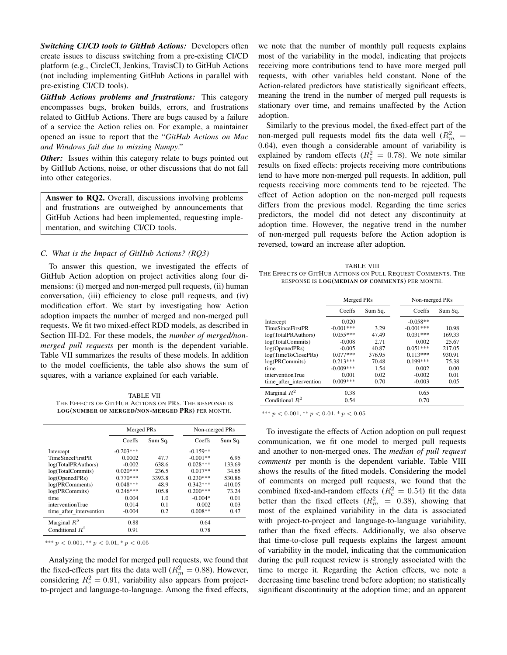*Switching CI/CD tools to GitHub Actions:* Developers often create issues to discuss switching from a pre-existing CI/CD platform (e.g., CircleCI, Jenkins, TravisCI) to GitHub Actions (not including implementing GitHub Actions in parallel with pre-existing CI/CD tools).

*GitHub Actions problems and frustrations:* This category encompasses bugs, broken builds, errors, and frustrations related to GitHub Actions. There are bugs caused by a failure of a service the Action relies on. For example, a maintainer opened an issue to report that the "*GitHub Actions on Mac and Windows fail due to missing Numpy*."

*Other:* Issues within this category relate to bugs pointed out by GitHub Actions, noise, or other discussions that do not fall into other categories.

Answer to RQ2. Overall, discussions involving problems and frustrations are outweighed by announcements that GitHub Actions had been implemented, requesting implementation, and switching CI/CD tools.

# *C. What is the Impact of GitHub Actions? (RQ3)*

To answer this question, we investigated the effects of GitHub Action adoption on project activities along four dimensions: (i) merged and non-merged pull requests, (ii) human conversation, (iii) efficiency to close pull requests, and (iv) modification effort. We start by investigating how Action adoption impacts the number of merged and non-merged pull requests. We fit two mixed-effect RDD models, as described in Section [III-D2.](#page-3-2) For these models, the *number of merged/nonmerged pull requests* per month is the dependent variable. Table [VII](#page-6-0) summarizes the results of these models. In addition to the model coefficients, the table also shows the sum of squares, with a variance explained for each variable.

<span id="page-6-0"></span>TABLE VII THE EFFECTS OF GITHUB ACTIONS ON PRS. THE RESPONSE IS LOG(NUMBER OF MERGED/NON-MERGED PRS) PER MONTH.

|                         | Merged PRs  |         |            | Non-merged PRs |  |
|-------------------------|-------------|---------|------------|----------------|--|
|                         | Coeffs      | Sum Sq. | Coeffs     | Sum Sq.        |  |
| Intercept               | $-0.203***$ |         | $-0.159**$ |                |  |
| <b>TimeSinceFirstPR</b> | 0.0002      | 47.7    | $-0.001**$ | 6.95           |  |
| log(TotalPRAuthors)     | $-0.002$    | 638.6   | $0.028***$ | 133.69         |  |
| log(TotalCommits)       | $0.020***$  | 236.5   | $0.017**$  | 34.65          |  |
| log(OpenedPRs)          | $0.770***$  | 3393.8  | $0.230***$ | 530.86         |  |
| log(PRComments)         | $0.048***$  | 48.9    | $0.342***$ | 410.05         |  |
| log(PRCommits)          | $0.246***$  | 105.8   | $0.200***$ | 73.24          |  |
| time                    | 0.004       | 1.0     | $-0.004*$  | 0.01           |  |
| interventionTrue        | 0.014       | 0.1     | 0.002      | 0.03           |  |
| time after intervention | $-0.004$    | 0.2     | $0.008**$  | 0.47           |  |
| Marginal $R^2$          | 0.88        |         | 0.64       |                |  |
| Conditional $R^2$       | 0.91        |         | 0.78       |                |  |

\*\*\*  $p < 0.001$ , \*\*  $p < 0.01$ , \*  $p < 0.05$ 

Analyzing the model for merged pull requests, we found that the fixed-effects part fits the data well ( $R_m^2 = 0.88$ ). However, considering  $R_c^2 = 0.91$ , variability also appears from projectto-project and language-to-language. Among the fixed effects,

we note that the number of monthly pull requests explains most of the variability in the model, indicating that projects receiving more contributions tend to have more merged pull requests, with other variables held constant. None of the Action-related predictors have statistically significant effects, meaning the trend in the number of merged pull requests is stationary over time, and remains unaffected by the Action adoption.

Similarly to the previous model, the fixed-effect part of the non-merged pull requests model fits the data well  $(R_m^2)$ 0.64), even though a considerable amount of variability is explained by random effects ( $R_c^2 = 0.78$ ). We note similar results on fixed effects: projects receiving more contributions tend to have more non-merged pull requests. In addition, pull requests receiving more comments tend to be rejected. The effect of Action adoption on the non-merged pull requests differs from the previous model. Regarding the time series predictors, the model did not detect any discontinuity at adoption time. However, the negative trend in the number of non-merged pull requests before the Action adoption is reversed, toward an increase after adoption.

<span id="page-6-1"></span>TABLE VIII THE EFFECTS OF GITHUB ACTIONS ON PULL REQUEST COMMENTS. THE RESPONSE IS LOG(MEDIAN OF COMMENTS) PER MONTH.

|                         | Merged PRs  |         |             |         | Non-merged PRs |  |
|-------------------------|-------------|---------|-------------|---------|----------------|--|
|                         | Coeffs      | Sum Sq. | Coeffs      | Sum Sq. |                |  |
| Intercept               | 0.020       |         | $-0.058**$  |         |                |  |
| <b>TimeSinceFirstPR</b> | $-0.001***$ | 3.29    | $-0.001***$ | 10.98   |                |  |
| log(TotalPRAuthors)     | $0.055***$  | 47.49   | $0.031***$  | 169.33  |                |  |
| log(TotalCommits)       | $-0.008$    | 2.71    | 0.002       | 25.67   |                |  |
| log(OpenedPRs)          | $-0.005$    | 40.87   | $0.051***$  | 217.05  |                |  |
| log(TimeToClosePRs)     | $0.077***$  | 376.95  | $0.113***$  | 930.91  |                |  |
| log(PRCommits)          | $0.213***$  | 70.48   | $0.199***$  | 75.38   |                |  |
| time                    | $-0.009***$ | 1.54    | 0.002       | 0.00    |                |  |
| interventionTrue        | 0.001       | 0.02    | $-0.002$    | 0.01    |                |  |
| time after intervention | $0.009***$  | 0.70    | $-0.003$    | 0.05    |                |  |
| Marginal $R^2$          | 0.38        |         | 0.65        |         |                |  |
| Conditional $R^2$       | 0.54        |         | 0.70        |         |                |  |

\*\*\*  $p < 0.001$ , \*\*  $p < 0.01$ , \*  $p < 0.05$ 

To investigate the effects of Action adoption on pull request communication, we fit one model to merged pull requests and another to non-merged ones. The *median of pull request comments* per month is the dependent variable. Table [VIII](#page-6-1) shows the results of the fitted models. Considering the model of comments on merged pull requests, we found that the combined fixed-and-random effects ( $R_c^2 = 0.54$ ) fit the data better than the fixed effects  $(R_m^2 = 0.38)$ , showing that most of the explained variability in the data is associated with project-to-project and language-to-language variability, rather than the fixed effects. Additionally, we also observe that time-to-close pull requests explains the largest amount of variability in the model, indicating that the communication during the pull request review is strongly associated with the time to merge it. Regarding the Action effects, we note a decreasing time baseline trend before adoption; no statistically significant discontinuity at the adoption time; and an apparent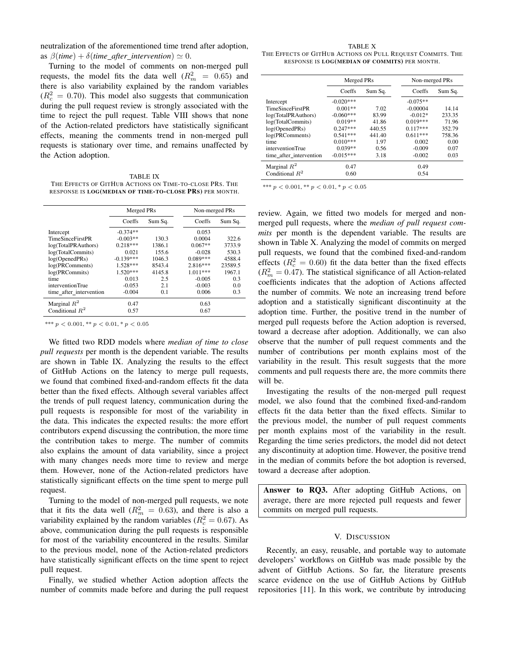neutralization of the aforementioned time trend after adoption, as  $\beta$ (*time*) +  $\delta$ (*time\_after\_intervention*)  $\simeq 0$ .

Turning to the model of comments on non-merged pull requests, the model fits the data well  $(R_m^2 = 0.65)$  and there is also variability explained by the random variables  $(R_c^2 = 0.70)$ . This model also suggests that communication during the pull request review is strongly associated with the time to reject the pull request. Table [VIII](#page-6-1) shows that none of the Action-related predictors have statistically significant effects, meaning the comments trend in non-merged pull requests is stationary over time, and remains unaffected by the Action adoption.

<span id="page-7-0"></span>TABLE IX THE EFFECTS OF GITHUB ACTIONS ON TIME-TO-CLOSE PRS. THE RESPONSE IS LOG(MEDIAN OF TIME-TO-CLOSE PRS) PER MONTH.

|                         | Merged PRs  |         | Non-merged PRs |         |
|-------------------------|-------------|---------|----------------|---------|
|                         | Coeffs      | Sum Sq. | Coeffs         | Sum Sq. |
| Intercept               | $-0.374**$  |         | 0.053          |         |
| <b>TimeSinceFirstPR</b> | $-0.003**$  | 130.3   | 0.0004         | 322.6   |
| log(TotalPRAuthors)     | $0.218***$  | 1386.1  | $0.067**$      | 3733.9  |
| log(TotalCommits)       | 0.021       | 155.6   | $-0.028$       | 530.3   |
| log(OpenedPRs)          | $-0.139***$ | 1046.3  | $0.089***$     | 4588.4  |
| log(PRComments)         | $1.528***$  | 8543.4  | $2.816***$     | 23589.5 |
| log(PRCommits)          | $1.520***$  | 4145.8  | 1.011***       | 1967.1  |
| time                    | 0.013       | 2.5     | $-0.005$       | 0.3     |
| interventionTrue        | $-0.053$    | 2.1     | $-0.003$       | 0.0     |
| time after intervention | $-0.004$    | 0.1     | 0.006          | 0.3     |
| Marginal $R^2$          | 0.47        |         | 0.63           |         |
| Conditional $R^2$       | 0.57        |         | 0.67           |         |

\*\*\*  $p < 0.001$ , \*\*  $p < 0.01$ , \*  $p < 0.05$ 

We fitted two RDD models where *median of time to close pull requests* per month is the dependent variable. The results are shown in Table [IX.](#page-7-0) Analyzing the results to the effect of GitHub Actions on the latency to merge pull requests, we found that combined fixed-and-random effects fit the data better than the fixed effects. Although several variables affect the trends of pull request latency, communication during the pull requests is responsible for most of the variability in the data. This indicates the expected results: the more effort contributors expend discussing the contribution, the more time the contribution takes to merge. The number of commits also explains the amount of data variability, since a project with many changes needs more time to review and merge them. However, none of the Action-related predictors have statistically significant effects on the time spent to merge pull request.

Turning to the model of non-merged pull requests, we note that it fits the data well  $(R_m^2 = 0.63)$ , and there is also a variability explained by the random variables ( $R_c^2 = 0.67$ ). As above, communication during the pull requests is responsible for most of the variability encountered in the results. Similar to the previous model, none of the Action-related predictors have statistically significant effects on the time spent to reject pull request.

Finally, we studied whether Action adoption affects the number of commits made before and during the pull request

<span id="page-7-1"></span>TABLE X THE EFFECTS OF GITHUB ACTIONS ON PULL REQUEST COMMITS. THE RESPONSE IS LOG(MEDIAN OF COMMITS) PER MONTH.

|                         | Merged PRs  |         | Non-merged PRs |         |
|-------------------------|-------------|---------|----------------|---------|
|                         | Coeffs      | Sum Sq. | Coeffs         | Sum Sq. |
| Intercept               | $-0.020***$ |         | $-0.075**$     |         |
| <b>TimeSinceFirstPR</b> | $0.001**$   | 7.02    | $-0.00004$     | 14.14   |
| log(TotalPRAuthors)     | $-0.060***$ | 83.99   | $-0.012*$      | 233.35  |
| log(TotalCommits)       | $0.019**$   | 41.86   | $0.019***$     | 71.96   |
| log(OpenedPRs)          | $0.247***$  | 440.55  | $0.117***$     | 352.79  |
| log(PRComments)         | $0.541***$  | 441.40  | $0.611***$     | 758.36  |
| time                    | $0.010***$  | 1.97    | 0.002          | 0.00    |
| interventionTrue        | $0.039**$   | 0.56    | $-0.009$       | 0.07    |
| time after intervention | $-0.015***$ | 3.18    | $-0.002$       | 0.03    |
| Marginal $R^2$          | 0.47        |         | 0.49           |         |
| Conditional $R^2$       | 0.60        |         | 0.54           |         |

\*\*\*  $p < 0.001$ , \*\*  $p < 0.01$ , \*  $p < 0.05$ 

review. Again, we fitted two models for merged and nonmerged pull requests, where the *median of pull request commits* per month is the dependent variable. The results are shown in Table [X.](#page-7-1) Analyzing the model of commits on merged pull requests, we found that the combined fixed-and-random effects ( $R_c^2 = 0.60$ ) fit the data better than the fixed effects  $(R_m^2 = 0.47)$ . The statistical significance of all Action-related coefficients indicates that the adoption of Actions affected the number of commits. We note an increasing trend before adoption and a statistically significant discontinuity at the adoption time. Further, the positive trend in the number of merged pull requests before the Action adoption is reversed, toward a decrease after adoption. Additionally, we can also observe that the number of pull request comments and the number of contributions per month explains most of the variability in the result. This result suggests that the more comments and pull requests there are, the more commits there will be.

Investigating the results of the non-merged pull request model, we also found that the combined fixed-and-random effects fit the data better than the fixed effects. Similar to the previous model, the number of pull request comments per month explains most of the variability in the result. Regarding the time series predictors, the model did not detect any discontinuity at adoption time. However, the positive trend in the median of commits before the bot adoption is reversed, toward a decrease after adoption.

Answer to RQ3. After adopting GitHub Actions, on average, there are more rejected pull requests and fewer commits on merged pull requests.

#### V. DISCUSSION

Recently, an easy, reusable, and portable way to automate developers' workflows on GitHub was made possible by the advent of GitHub Actions. So far, the literature presents scarce evidence on the use of GitHub Actions by GitHub repositories [\[11\]](#page-10-10). In this work, we contribute by introducing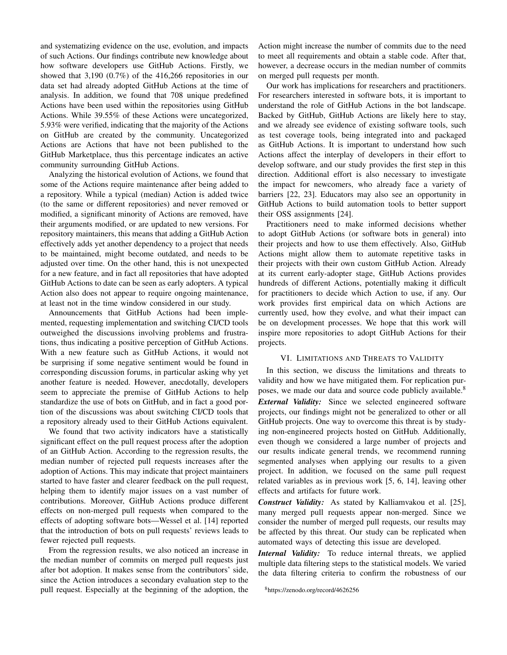and systematizing evidence on the use, evolution, and impacts of such Actions. Our findings contribute new knowledge about how software developers use GitHub Actions. Firstly, we showed that 3,190 (0.7%) of the 416,266 repositories in our data set had already adopted GitHub Actions at the time of analysis. In addition, we found that 708 unique predefined Actions have been used within the repositories using GitHub Actions. While 39.55% of these Actions were uncategorized, 5.93% were verified, indicating that the majority of the Actions on GitHub are created by the community. Uncategorized Actions are Actions that have not been published to the GitHub Marketplace, thus this percentage indicates an active community surrounding GitHub Actions.

Analyzing the historical evolution of Actions, we found that some of the Actions require maintenance after being added to a repository. While a typical (median) Action is added twice (to the same or different repositories) and never removed or modified, a significant minority of Actions are removed, have their arguments modified, or are updated to new versions. For repository maintainers, this means that adding a GitHub Action effectively adds yet another dependency to a project that needs to be maintained, might become outdated, and needs to be adjusted over time. On the other hand, this is not unexpected for a new feature, and in fact all repositories that have adopted GitHub Actions to date can be seen as early adopters. A typical Action also does not appear to require ongoing maintenance, at least not in the time window considered in our study.

Announcements that GitHub Actions had been implemented, requesting implementation and switching CI/CD tools outweighed the discussions involving problems and frustrations, thus indicating a positive perception of GitHub Actions. With a new feature such as GitHub Actions, it would not be surprising if some negative sentiment would be found in corresponding discussion forums, in particular asking why yet another feature is needed. However, anecdotally, developers seem to appreciate the premise of GitHub Actions to help standardize the use of bots on GitHub, and in fact a good portion of the discussions was about switching CI/CD tools that a repository already used to their GitHub Actions equivalent.

We found that two activity indicators have a statistically significant effect on the pull request process after the adoption of an GitHub Action. According to the regression results, the median number of rejected pull requests increases after the adoption of Actions. This may indicate that project maintainers started to have faster and clearer feedback on the pull request, helping them to identify major issues on a vast number of contributions. Moreover, GitHub Actions produce different effects on non-merged pull requests when compared to the effects of adopting software bots—Wessel et al. [\[14\]](#page-10-13) reported that the introduction of bots on pull requests' reviews leads to fewer rejected pull requests.

From the regression results, we also noticed an increase in the median number of commits on merged pull requests just after bot adoption. It makes sense from the contributors' side, since the Action introduces a secondary evaluation step to the pull request. Especially at the beginning of the adoption, the Action might increase the number of commits due to the need to meet all requirements and obtain a stable code. After that, however, a decrease occurs in the median number of commits on merged pull requests per month.

Our work has implications for researchers and practitioners. For researchers interested in software bots, it is important to understand the role of GitHub Actions in the bot landscape. Backed by GitHub, GitHub Actions are likely here to stay, and we already see evidence of existing software tools, such as test coverage tools, being integrated into and packaged as GitHub Actions. It is important to understand how such Actions affect the interplay of developers in their effort to develop software, and our study provides the first step in this direction. Additional effort is also necessary to investigate the impact for newcomers, who already face a variety of barriers [\[22,](#page-10-21) [23\]](#page-10-22). Educators may also see an opportunity in GitHub Actions to build automation tools to better support their OSS assignments [\[24\]](#page-10-23).

Practitioners need to make informed decisions whether to adopt GitHub Actions (or software bots in general) into their projects and how to use them effectively. Also, GitHub Actions might allow them to automate repetitive tasks in their projects with their own custom GitHub Action. Already at its current early-adopter stage, GitHub Actions provides hundreds of different Actions, potentially making it difficult for practitioners to decide which Action to use, if any. Our work provides first empirical data on which Actions are currently used, how they evolve, and what their impact can be on development processes. We hope that this work will inspire more repositories to adopt GitHub Actions for their projects.

#### VI. LIMITATIONS AND THREATS TO VALIDITY

In this section, we discuss the limitations and threats to validity and how we have mitigated them. For replication pur-poses, we made our data and source code publicly available.<sup>[8](#page-8-0)</sup> *External Validity:* Since we selected engineered software projects, our findings might not be generalized to other or all GitHub projects. One way to overcome this threat is by studying non-engineered projects hosted on GitHub. Additionally, even though we considered a large number of projects and our results indicate general trends, we recommend running segmented analyses when applying our results to a given project. In addition, we focused on the same pull request related variables as in previous work [\[5,](#page-10-4) [6,](#page-10-5) [14\]](#page-10-13), leaving other effects and artifacts for future work.

*Construct Validity:* As stated by Kalliamvakou et al. [\[25\]](#page-11-0), many merged pull requests appear non-merged. Since we consider the number of merged pull requests, our results may be affected by this threat. Our study can be replicated when automated ways of detecting this issue are developed.

*Internal Validity:* To reduce internal threats, we applied multiple data filtering steps to the statistical models. We varied the data filtering criteria to confirm the robustness of our

<span id="page-8-0"></span><sup>8</sup>https://zenodo.org/record/4626256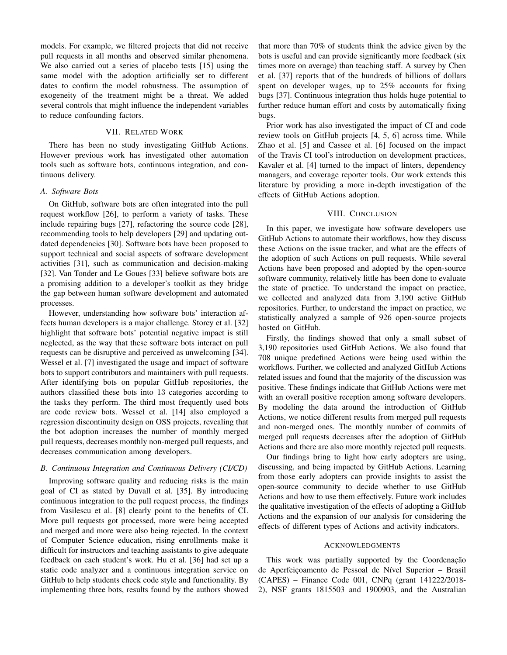models. For example, we filtered projects that did not receive pull requests in all months and observed similar phenomena. We also carried out a series of placebo tests [\[15\]](#page-10-14) using the same model with the adoption artificially set to different dates to confirm the model robustness. The assumption of exogeneity of the treatment might be a threat. We added several controls that might influence the independent variables to reduce confounding factors.

# VII. RELATED WORK

There has been no study investigating GitHub Actions. However previous work has investigated other automation tools such as software bots, continuous integration, and continuous delivery.

# *A. Software Bots*

On GitHub, software bots are often integrated into the pull request workflow [\[26\]](#page-11-1), to perform a variety of tasks. These include repairing bugs [\[27\]](#page-11-2), refactoring the source code [\[28\]](#page-11-3), recommending tools to help developers [\[29\]](#page-11-4) and updating outdated dependencies [\[30\]](#page-11-5). Software bots have been proposed to support technical and social aspects of software development activities [\[31\]](#page-11-6), such as communication and decision-making [\[32\]](#page-11-7). Van Tonder and Le Goues [\[33\]](#page-11-8) believe software bots are a promising addition to a developer's toolkit as they bridge the gap between human software development and automated processes.

However, understanding how software bots' interaction affects human developers is a major challenge. Storey et al. [\[32\]](#page-11-7) highlight that software bots' potential negative impact is still neglected, as the way that these software bots interact on pull requests can be disruptive and perceived as unwelcoming [\[34\]](#page-11-9). Wessel et al. [\[7\]](#page-10-6) investigated the usage and impact of software bots to support contributors and maintainers with pull requests. After identifying bots on popular GitHub repositories, the authors classified these bots into 13 categories according to the tasks they perform. The third most frequently used bots are code review bots. Wessel et al. [\[14\]](#page-10-13) also employed a regression discontinuity design on OSS projects, revealing that the bot adoption increases the number of monthly merged pull requests, decreases monthly non-merged pull requests, and decreases communication among developers.

#### *B. Continuous Integration and Continuous Delivery (CI/CD)*

Improving software quality and reducing risks is the main goal of CI as stated by Duvall et al. [\[35\]](#page-11-10). By introducing continuous integration to the pull request process, the findings from Vasilescu et al. [\[8\]](#page-10-7) clearly point to the benefits of CI. More pull requests got processed, more were being accepted and merged and more were also being rejected. In the context of Computer Science education, rising enrollments make it difficult for instructors and teaching assistants to give adequate feedback on each student's work. Hu et al. [\[36\]](#page-11-11) had set up a static code analyzer and a continuous integration service on GitHub to help students check code style and functionality. By implementing three bots, results found by the authors showed that more than 70% of students think the advice given by the bots is useful and can provide significantly more feedback (six times more on average) than teaching staff. A survey by Chen et al. [\[37\]](#page-11-12) reports that of the hundreds of billions of dollars spent on developer wages, up to 25% accounts for fixing bugs [\[37\]](#page-11-12). Continuous integration thus holds huge potential to further reduce human effort and costs by automatically fixing bugs.

Prior work has also investigated the impact of CI and code review tools on GitHub projects [\[4,](#page-10-3) [5,](#page-10-4) [6\]](#page-10-5) across time. While Zhao et al. [\[5\]](#page-10-4) and Cassee et al. [\[6\]](#page-10-5) focused on the impact of the Travis CI tool's introduction on development practices, Kavaler et al. [\[4\]](#page-10-3) turned to the impact of linters, dependency managers, and coverage reporter tools. Our work extends this literature by providing a more in-depth investigation of the effects of GitHub Actions adoption.

#### VIII. CONCLUSION

In this paper, we investigate how software developers use GitHub Actions to automate their workflows, how they discuss these Actions on the issue tracker, and what are the effects of the adoption of such Actions on pull requests. While several Actions have been proposed and adopted by the open-source software community, relatively little has been done to evaluate the state of practice. To understand the impact on practice, we collected and analyzed data from 3,190 active GitHub repositories. Further, to understand the impact on practice, we statistically analyzed a sample of 926 open-source projects hosted on GitHub.

Firstly, the findings showed that only a small subset of 3,190 repositories used GitHub Actions. We also found that 708 unique predefined Actions were being used within the workflows. Further, we collected and analyzed GitHub Actions related issues and found that the majority of the discussion was positive. These findings indicate that GitHub Actions were met with an overall positive reception among software developers. By modeling the data around the introduction of GitHub Actions, we notice different results from merged pull requests and non-merged ones. The monthly number of commits of merged pull requests decreases after the adoption of GitHub Actions and there are also more monthly rejected pull requests.

Our findings bring to light how early adopters are using, discussing, and being impacted by GitHub Actions. Learning from those early adopters can provide insights to assist the open-source community to decide whether to use GitHub Actions and how to use them effectively. Future work includes the qualitative investigation of the effects of adopting a GitHub Actions and the expansion of our analysis for considering the effects of different types of Actions and activity indicators.

#### ACKNOWLEDGMENTS

This work was partially supported by the Coordenação de Aperfeicoamento de Pessoal de Nível Superior - Brasil (CAPES) – Finance Code 001, CNPq (grant 141222/2018- 2), NSF grants 1815503 and 1900903, and the Australian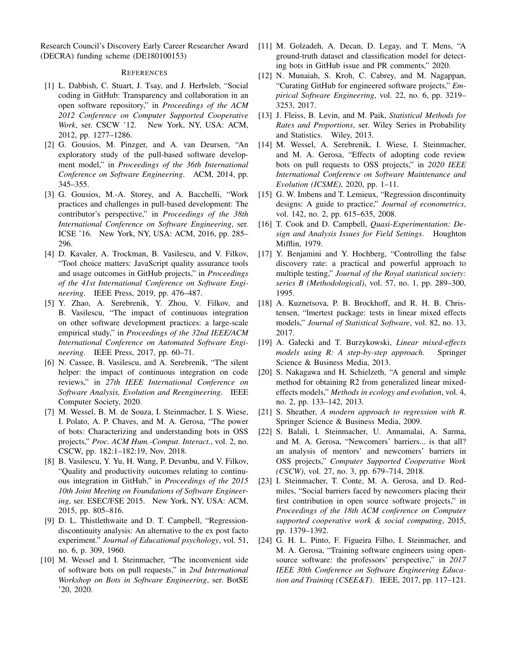Research Council's Discovery Early Career Researcher Award (DECRA) funding scheme (DE180100153)

# **REFERENCES**

- <span id="page-10-0"></span>[1] L. Dabbish, C. Stuart, J. Tsay, and J. Herbsleb, "Social coding in GitHub: Transparency and collaboration in an open software repository," in *Proceedings of the ACM 2012 Conference on Computer Supported Cooperative Work*, ser. CSCW '12. New York, NY, USA: ACM, 2012, pp. 1277–1286.
- <span id="page-10-1"></span>[2] G. Gousios, M. Pinzger, and A. van Deursen, "An exploratory study of the pull-based software development model," in *Proceedings of the 36th International Conference on Software Engineering*. ACM, 2014, pp. 345–355.
- <span id="page-10-2"></span>[3] G. Gousios, M.-A. Storey, and A. Bacchelli, "Work" practices and challenges in pull-based development: The contributor's perspective," in *Proceedings of the 38th International Conference on Software Engineering*, ser. ICSE '16. New York, NY, USA: ACM, 2016, pp. 285– 296.
- <span id="page-10-3"></span>[4] D. Kavaler, A. Trockman, B. Vasilescu, and V. Filkov, "Tool choice matters: JavaScript quality assurance tools and usage outcomes in GitHub projects," in *Proceedings of the 41st International Conference on Software Engineering*. IEEE Press, 2019, pp. 476–487.
- <span id="page-10-4"></span>[5] Y. Zhao, A. Serebrenik, Y. Zhou, V. Filkov, and B. Vasilescu, "The impact of continuous integration on other software development practices: a large-scale empirical study," in *Proceedings of the 32nd IEEE/ACM International Conference on Automated Software Engineering*. IEEE Press, 2017, pp. 60–71.
- <span id="page-10-5"></span>[6] N. Cassee, B. Vasilescu, and A. Serebrenik, "The silent helper: the impact of continuous integration on code reviews," in *27th IEEE International Conference on Software Analysis, Evolution and Reengineering*. IEEE Computer Society, 2020.
- <span id="page-10-6"></span>[7] M. Wessel, B. M. de Souza, I. Steinmacher, I. S. Wiese, I. Polato, A. P. Chaves, and M. A. Gerosa, "The power of bots: Characterizing and understanding bots in OSS projects," *Proc. ACM Hum.-Comput. Interact.*, vol. 2, no. CSCW, pp. 182:1–182:19, Nov. 2018.
- <span id="page-10-7"></span>[8] B. Vasilescu, Y. Yu, H. Wang, P. Devanbu, and V. Filkov, "Quality and productivity outcomes relating to continuous integration in GitHub," in *Proceedings of the 2015 10th Joint Meeting on Foundations of Software Engineering*, ser. ESEC/FSE 2015. New York, NY, USA: ACM, 2015, pp. 805–816.
- <span id="page-10-8"></span>[9] D. L. Thistlethwaite and D. T. Campbell, "Regressiondiscontinuity analysis: An alternative to the ex post facto experiment." *Journal of Educational psychology*, vol. 51, no. 6, p. 309, 1960.
- <span id="page-10-9"></span>[10] M. Wessel and I. Steinmacher, "The inconvenient side of software bots on pull requests," in *2nd International Workshop on Bots in Software Engineering*, ser. BotSE '20, 2020.
- <span id="page-10-10"></span>[11] M. Golzadeh, A. Decan, D. Legay, and T. Mens, "A ground-truth dataset and classification model for detecting bots in GitHub issue and PR comments," 2020.
- <span id="page-10-11"></span>[12] N. Munaiah, S. Kroh, C. Cabrey, and M. Nagappan, "Curating GitHub for engineered software projects," *Empirical Software Engineering*, vol. 22, no. 6, pp. 3219– 3253, 2017.
- <span id="page-10-12"></span>[13] J. Fleiss, B. Levin, and M. Paik, *Statistical Methods for Rates and Proportions*, ser. Wiley Series in Probability and Statistics. Wiley, 2013.
- <span id="page-10-13"></span>[14] M. Wessel, A. Serebrenik, I. Wiese, I. Steinmacher, and M. A. Gerosa, "Effects of adopting code review bots on pull requests to OSS projects," in *2020 IEEE International Conference on Software Maintenance and Evolution (ICSME)*, 2020, pp. 1–11.
- <span id="page-10-14"></span>[15] G. W. Imbens and T. Lemieux, "Regression discontinuity designs: A guide to practice," *Journal of econometrics*, vol. 142, no. 2, pp. 615–635, 2008.
- <span id="page-10-15"></span>[16] T. Cook and D. Campbell, *Quasi-Experimentation: Design and Analysis Issues for Field Settings*. Houghton Mifflin, 1979.
- <span id="page-10-16"></span>[17] Y. Benjamini and Y. Hochberg, "Controlling the false discovery rate: a practical and powerful approach to multiple testing," *Journal of the Royal statistical society: series B (Methodological)*, vol. 57, no. 1, pp. 289–300, 1995.
- <span id="page-10-17"></span>[18] A. Kuznetsova, P. B. Brockhoff, and R. H. B. Christensen, "lmertest package: tests in linear mixed effects models," *Journal of Statistical Software*, vol. 82, no. 13, 2017.
- <span id="page-10-18"></span>[19] A. Gałecki and T. Burzykowski, *Linear mixed-effects models using R: A step-by-step approach*. Springer Science & Business Media, 2013.
- <span id="page-10-19"></span>[20] S. Nakagawa and H. Schielzeth, "A general and simple method for obtaining R2 from generalized linear mixedeffects models," *Methods in ecology and evolution*, vol. 4, no. 2, pp. 133–142, 2013.
- <span id="page-10-20"></span>[21] S. Sheather, *A modern approach to regression with R*. Springer Science & Business Media, 2009.
- <span id="page-10-21"></span>[22] S. Balali, I. Steinmacher, U. Annamalai, A. Sarma, and M. A. Gerosa, "Newcomers' barriers... is that all? an analysis of mentors' and newcomers' barriers in OSS projects," *Computer Supported Cooperative Work (CSCW)*, vol. 27, no. 3, pp. 679–714, 2018.
- <span id="page-10-22"></span>[23] I. Steinmacher, T. Conte, M. A. Gerosa, and D. Redmiles, "Social barriers faced by newcomers placing their first contribution in open source software projects," in *Proceedings of the 18th ACM conference on Computer supported cooperative work & social computing*, 2015, pp. 1379–1392.
- <span id="page-10-23"></span>[24] G. H. L. Pinto, F. Figueira Filho, I. Steinmacher, and M. A. Gerosa, "Training software engineers using opensource software: the professors' perspective," in *2017 IEEE 30th Conference on Software Engineering Education and Training (CSEE&T)*. IEEE, 2017, pp. 117–121.